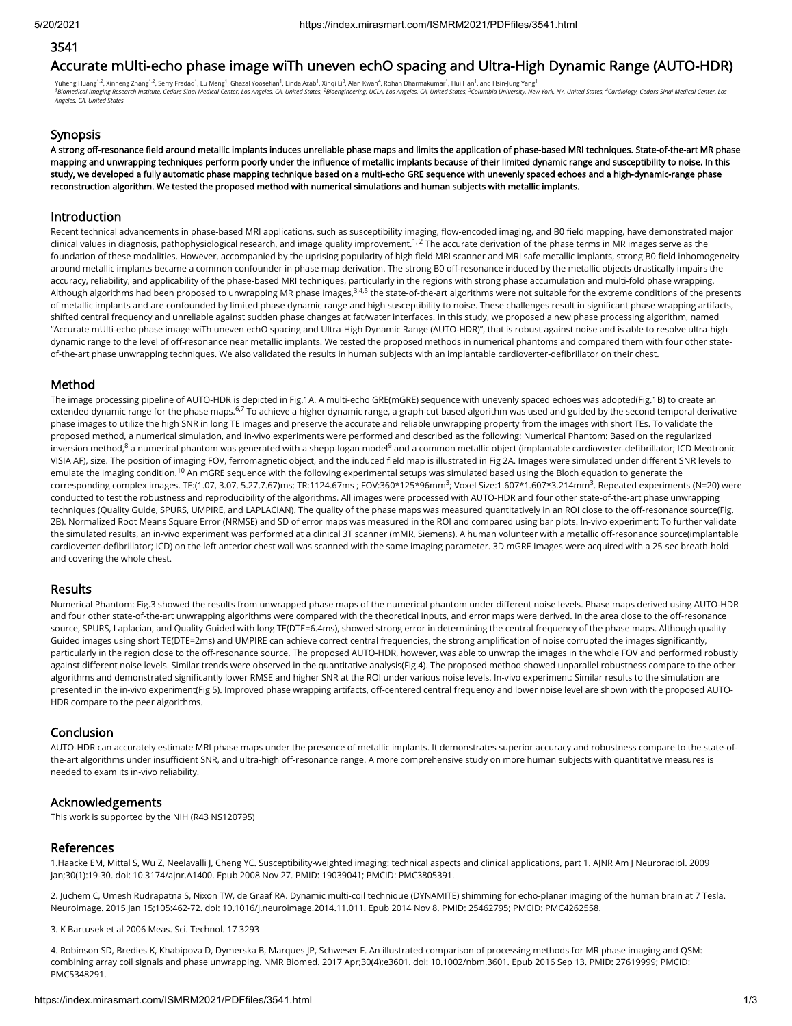## 3541

# Accurate mUlti-echo phase image wiTh uneven echO spacing and Ultra-High Dynamic Range (AUTO-HDR)

Yuheng Huang<sup>1,2</sup>, Xinheng Zhang<sup>1,2</sup>, Serry Fradad<sup>1</sup>, Lu Meng<sup>1</sup>, Ghazal Yoosefian<sup>1</sup>, Linda Azab<sup>1</sup>, Xinqi Li $^3$ , Alan Kwan<sup>4</sup>, Rohan Dharmakumar<sup>1</sup>, Hui Han<sup>1</sup>, and Hsin-Jung Yang<sup>1</sup> <sup>1</sup>Biomedical Imaging Research Institute, Cedars Sinai Medical Center, Los Angeles, CA, United States, <sup>2</sup>Bioengineering, UCLA, Los Angeles, CA, United States, <sup>3</sup>Columbia University, New York, NY, United States, <sup>4</sup>Cardio *Angeles, CA, United States*

### Synopsis

A strong off-resonance field around metallic implants induces unreliable phase maps and limits the application of phase-based MRI techniques. State-of-the-art MR phase mapping and unwrapping techniques perform poorly under the influence of metallic implants because of their limited dynamic range and susceptibility to noise. In this study, we developed a fully automatic phase mapping technique based on a multi-echo GRE sequence with unevenly spaced echoes and a high-dynamic-range phase reconstruction algorithm. We tested the proposed method with numerical simulations and human subjects with metallic implants.

#### Introduction

Recent technical advancements in phase-based MRI applications, such as susceptibility imaging, flow-encoded imaging, and B0 field mapping, have demonstrated major clinical values in diagnosis, pathophysiological research, and image quality improvement.<sup>1, 2</sup> The accurate derivation of the phase terms in MR images serve as the foundation of these modalities. However, accompanied by the uprising popularity of high field MRI scanner and MRI safe metallic implants, strong B0 field inhomogeneity around metallic implants became a common confounder in phase map derivation. The strong B0 off-resonance induced by the metallic objects drastically impairs the accuracy, reliability, and applicability of the phase-based MRI techniques, particularly in the regions with strong phase accumulation and multi-fold phase wrapping. Although algorithms had been proposed to unwrapping MR phase images,<sup>3,4,5</sup> the state-of-the-art algorithms were not suitable for the extreme conditions of the presents of metallic implants and are confounded by limited phase dynamic range and high susceptibility to noise. These challenges result in significant phase wrapping artifacts, shifted central frequency and unreliable against sudden phase changes at fat/water interfaces. In this study, we proposed a new phase processing algorithm, named "Accurate mUlti-echo phase image wiTh uneven echO spacing and Ultra-High Dynamic Range (AUTO-HDR)", that is robust against noise and is able to resolve ultra-high dynamic range to the level of off-resonance near metallic implants. We tested the proposed methods in numerical phantoms and compared them with four other stateof-the-art phase unwrapping techniques. We also validated the results in human subjects with an implantable cardioverter-defibrillator on their chest.

#### Method

The image processing pipeline of AUTO-HDR is depicted in Fig.1A. A multi-echo GRE(mGRE) sequence with unevenly spaced echoes was adopted(Fig.1B) to create an extended dynamic range for the phase maps.<sup>6,7</sup> To achieve a higher dynamic range, a graph-cut based algorithm was used and guided by the second temporal derivative phase images to utilize the high SNR in long TE images and preserve the accurate and reliable unwrapping property from the images with short TEs. To validate the proposed method, a numerical simulation, and in-vivo experiments were performed and described as the following: Numerical Phantom: Based on the regularized inversion method,<sup>8</sup> a numerical phantom was generated with a shepp-logan model<sup>9</sup> and a common metallic object (implantable cardioverter-defibrillator; ICD Medtronic VISIA AF), size. The position of imaging FOV, ferromagnetic object, and the induced field map is illustrated in Fig 2A. Images were simulated under different SNR levels to emulate the imaging condition.<sup>10</sup> An mGRE sequence with the following experimental setups was simulated based using the Bloch equation to generate the corresponding complex images. TE:(1.07, 3.07, 5.27,7.67)ms; TR:1124.67ms ; FOV:360\*125\*96mm<sup>3</sup>; Voxel Size:1.607\*1.607\*3.214mm<sup>3</sup>. Repeated experiments (N=20) were conducted to test the robustness and reproducibility of the algorithms. All images were processed with AUTO-HDR and four other state-of-the-art phase unwrapping techniques (Quality Guide, SPURS, UMPIRE, and LAPLACIAN). The quality of the phase maps was measured quantitatively in an ROI close to the off-resonance source(Fig. 2B). Normalized Root Means Square Error (NRMSE) and SD of error maps was measured in the ROI and compared using bar plots. In-vivo experiment: To further validate the simulated results, an in-vivo experiment was performed at a clinical 3T scanner (mMR, Siemens). A human volunteer with a metallic off-resonance source(implantable cardioverter-defibrillator; ICD) on the left anterior chest wall was scanned with the same imaging parameter. 3D mGRE Images were acquired with a 25-sec breath-hold and covering the whole chest.

#### Results

Numerical Phantom: Fig.3 showed the results from unwrapped phase maps of the numerical phantom under different noise levels. Phase maps derived using AUTO-HDR and four other state-of-the-art unwrapping algorithms were compared with the theoretical inputs, and error maps were derived. In the area close to the off-resonance source, SPURS, Laplacian, and Quality Guided with long TE(DTE=6.4ms), showed strong error in determining the central frequency of the phase maps. Although quality Guided images using short TE(DTE=2ms) and UMPIRE can achieve correct central frequencies, the strong amplification of noise corrupted the images significantly, particularly in the region close to the off-resonance source. The proposed AUTO-HDR, however, was able to unwrap the images in the whole FOV and performed robustly against different noise levels. Similar trends were observed in the quantitative analysis(Fig.4). The proposed method showed unparallel robustness compare to the other algorithms and demonstrated significantly lower RMSE and higher SNR at the ROI under various noise levels. In-vivo experiment: Similar results to the simulation are presented in the in-vivo experiment(Fig 5). Improved phase wrapping artifacts, off-centered central frequency and lower noise level are shown with the proposed AUTO-HDR compare to the peer algorithms.

#### Conclusion

AUTO-HDR can accurately estimate MRI phase maps under the presence of metallic implants. It demonstrates superior accuracy and robustness compare to the state-ofthe-art algorithms under insufficient SNR, and ultra-high off-resonance range. A more comprehensive study on more human subjects with quantitative measures is needed to exam its in-vivo reliability.

#### Acknowledgements

This work is supported by the NIH (R43 NS120795)

#### References

1.Haacke EM, Mittal S, Wu Z, Neelavalli J, Cheng YC. Susceptibility-weighted imaging: technical aspects and clinical applications, part 1. AJNR Am J Neuroradiol. 2009 Jan;30(1):19-30. doi: 10.3174/ajnr.A1400. Epub 2008 Nov 27. PMID: 19039041; PMCID: PMC3805391.

2. Juchem C, Umesh Rudrapatna S, Nixon TW, de Graaf RA. Dynamic multi-coil technique (DYNAMITE) shimming for echo-planar imaging of the human brain at 7 Tesla. Neuroimage. 2015 Jan 15;105:462-72. doi: 10.1016/j.neuroimage.2014.11.011. Epub 2014 Nov 8. PMID: 25462795; PMCID: PMC4262558.

3. K Bartusek et al 2006 Meas. Sci. Technol. 17 3293

4. Robinson SD, Bredies K, Khabipova D, Dymerska B, Marques JP, Schweser F. An illustrated comparison of processing methods for MR phase imaging and QSM: combining array coil signals and phase unwrapping. NMR Biomed. 2017 Apr;30(4):e3601. doi: 10.1002/nbm.3601. Epub 2016 Sep 13. PMID: 27619999; PMCID: PMC5348291.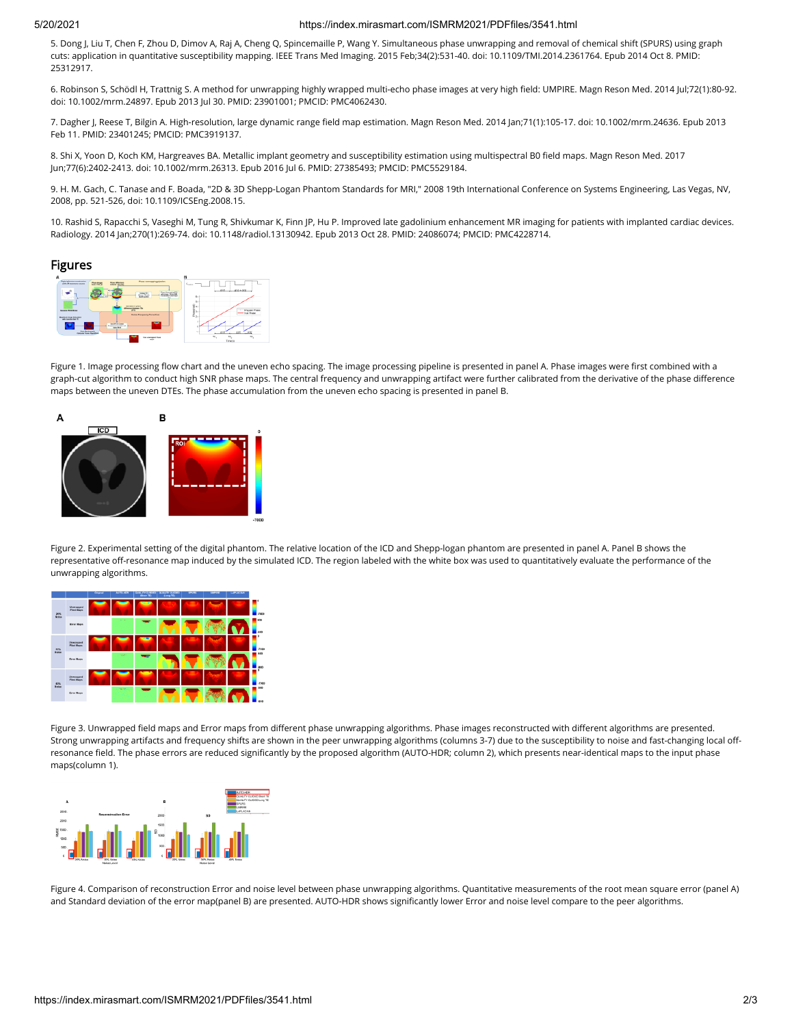#### 5/20/2021 https://index.mirasmart.com/ISMRM2021/PDFfiles/3541.html

5. Dong J, Liu T, Chen F, Zhou D, Dimov A, Raj A, Cheng Q, Spincemaille P, Wang Y. Simultaneous phase unwrapping and removal of chemical shift (SPURS) using graph cuts: application in quantitative susceptibility mapping. IEEE Trans Med Imaging. 2015 Feb;34(2):531-40. doi: 10.1109/TMI.2014.2361764. Epub 2014 Oct 8. PMID: 25312917.

6. Robinson S, Schödl H, Trattnig S. A method for unwrapping highly wrapped multi-echo phase images at very high eld: UMPIRE. Magn Reson Med. 2014 Jul;72(1):80-92. doi: 10.1002/mrm.24897. Epub 2013 Jul 30. PMID: 23901001; PMCID: PMC4062430.

7. Dagher J, Reese T, Bilgin A. High-resolution, large dynamic range field map estimation. Magn Reson Med. 2014 Jan;71(1):105-17. doi: 10.1002/mrm.24636. Epub 2013 Feb 11. PMID: 23401245; PMCID: PMC3919137.

8. Shi X, Yoon D, Koch KM, Hargreaves BA. Metallic implant geometry and susceptibility estimation using multispectral B0 field maps. Magn Reson Med. 2017 Jun;77(6):2402-2413. doi: 10.1002/mrm.26313. Epub 2016 Jul 6. PMID: 27385493; PMCID: PMC5529184.

9. H. M. Gach, C. Tanase and F. Boada, "2D & 3D Shepp-Logan Phantom Standards for MRI," 2008 19th International Conference on Systems Engineering, Las Vegas, NV, 2008, pp. 521-526, doi: 10.1109/ICSEng.2008.15.

10. Rashid S, Rapacchi S, Vaseghi M, Tung R, Shivkumar K, Finn JP, Hu P. Improved late gadolinium enhancement MR imaging for patients with implanted cardiac devices. Radiology. 2014 Jan;270(1):269-74. doi: 10.1148/radiol.13130942. Epub 2013 Oct 28. PMID: 24086074; PMCID: PMC4228714.

#### Figures



Figure 1. Image processing flow chart and the uneven echo spacing. The image processing pipeline is presented in panel A. Phase images were first combined with a graph-cut algorithm to conduct high SNR phase maps. The central frequency and unwrapping artifact were further calibrated from the derivative of the phase difference maps between the uneven DTEs. The phase accumulation from the uneven echo spacing is presented in panel B.



Figure 2. Experimental setting of the digital phantom. The relative location of the ICD and Shepp-logan phantom are presented in panel A. Panel B shows the representative off-resonance map induced by the simulated ICD. The region labeled with the white box was used to quantitatively evaluate the performance of the unwrapping algorithms.



Figure 3. Unwrapped field maps and Error maps from different phase unwrapping algorithms. Phase images reconstructed with different algorithms are presented. Strong unwrapping artifacts and frequency shifts are shown in the peer unwrapping algorithms (columns 3-7) due to the susceptibility to noise and fast-changing local offresonance field. The phase errors are reduced significantly by the proposed algorithm (AUTO-HDR; column 2), which presents near-identical maps to the input phase maps(column 1).



Figure 4. Comparison of reconstruction Error and noise level between phase unwrapping algorithms. Quantitative measurements of the root mean square error (panel A) and Standard deviation of the error map(panel B) are presented. AUTO-HDR shows significantly lower Error and noise level compare to the peer algorithms.